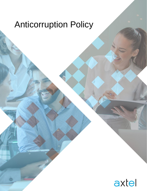## Anticorruption Policy

Axtel – Información Pública

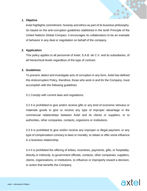

## **1. Objetive**

Axtel highlights commitment, honesty and ethics as part of its business philosophy. So based on the anti-corruption guidelines stablished in the tenth Principle of the United Nations Global Compact, it encourages its collaborators to be an example of behavior in any deal or negotiation on behalf of the company.

## **2. Application**

This policy applies to all personnel of Axtel, S.A.B. de C.V. and its subsidiaries, of all hierarchical levels regardless of the type of contract.

## **3. Guidelines**

To prevent, detect and investigate acts of corruption in any form, Axtel has defined this Anticorruption Policy, therefore, those who work in and for the Company, must accomplish with the following guidelines

3.1 Comply with current laws and regulations.

3.2 It is prohibited to give and/or receive gifts or any kind of economic stimulus or materials goods to give or receive any type of improper advantage in the commercial relationships between Axtel and its clients or suppliers, or to authorities, other companies, contacts, organisms or institutions.

3.3 It is prohibited to give and/or receive any improper or illegal payment, or any type of compensation contrary to laws or morality, to obtain or offer some influence in a business relationship.

3.4 It is prohibited the offering of bribes, incentives, payments, gifts, or hospitality, directly or indirectly, to government officials, contacts, other companies, suppliers, clients, organizations, or institutions, to influence or improperly reward a decision, or action that benefits the Company.

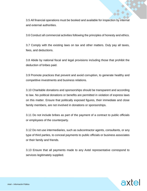3.5 All financial operations must be booked and available for inspection by internal and external authorities.

3.6 Conduct all commercial activities following the principles of honesty and ethics.

3.7 Comply with the existing laws on tax and other matters. Duly pay all taxes, fees, and deductions.

3.8 Abide by national fiscal and legal provisions including those that prohibit the deduction of bribes paid.

3.9 Promote practices that prevent and avoid corruption, to generate healthy and competitive investments and business relations.

3.10 Charitable donations and sponsorships should be transparent and according to law. No political donations or benefits are permitted in violation of express laws on this matter. Ensure that politically exposed figures, their immediate and close family members, are not involved in donations or sponsorships.

3.11 Do not include bribes as part of the payment of a contract to public officials or employees of the counterparty.

3.12 Do not use intermediaries, such as subcontractor agents, consultants, or any type of third parties, to conceal payments to public officials or business associates or their family and friends.

3.13 Ensure that all payments made to any Axtel representative correspond to services legitimately supplied.